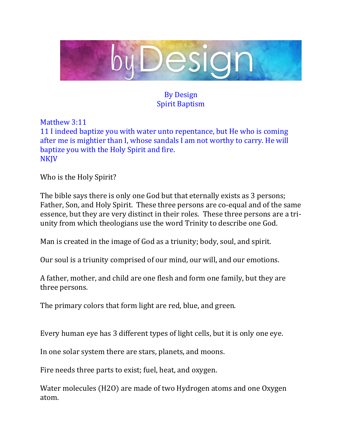

## By Design Spirit Baptism

Matthew 3:11 11 I indeed baptize you with water unto repentance, but He who is coming after me is mightier than I, whose sandals I am not worthy to carry. He will baptize you with the Holy Spirit and fire. **NKJV** 

Who is the Holy Spirit?

The bible says there is only one God but that eternally exists as 3 persons; Father, Son, and Holy Spirit. These three persons are co-equal and of the same essence, but they are very distinct in their roles. These three persons are a triunity from which theologians use the word Trinity to describe one God.

Man is created in the image of God as a triunity; body, soul, and spirit.

Our soul is a triunity comprised of our mind, our will, and our emotions.

A father, mother, and child are one flesh and form one family, but they are three persons.

The primary colors that form light are red, blue, and green.

Every human eye has 3 different types of light cells, but it is only one eye.

In one solar system there are stars, planets, and moons.

Fire needs three parts to exist; fuel, heat, and oxygen.

Water molecules (H2O) are made of two Hydrogen atoms and one Oxygen atom.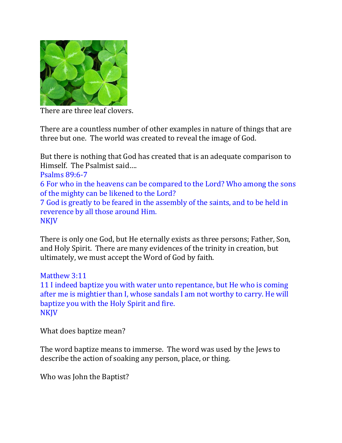

There are three leaf clovers.

There are a countless number of other examples in nature of things that are three but one. The world was created to reveal the image of God.

But there is nothing that God has created that is an adequate comparison to Himself. The Psalmist said….

Psalms 89:6-7

6 For who in the heavens can be compared to the Lord? Who among the sons of the mighty can be likened to the Lord?

7 God is greatly to be feared in the assembly of the saints, and to be held in reverence by all those around Him. NKJV

There is only one God, but He eternally exists as three persons; Father, Son, and Holy Spirit. There are many evidences of the trinity in creation, but ultimately, we must accept the Word of God by faith.

Matthew 3:11 11 I indeed baptize you with water unto repentance, but He who is coming after me is mightier than I, whose sandals I am not worthy to carry. He will baptize you with the Holy Spirit and fire. **NKJV** 

What does baptize mean?

The word baptize means to immerse. The word was used by the Jews to describe the action of soaking any person, place, or thing.

Who was John the Baptist?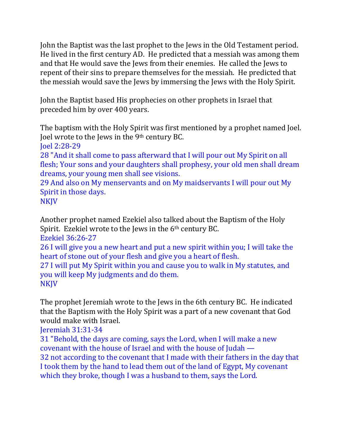John the Baptist was the last prophet to the Jews in the Old Testament period. He lived in the first century AD. He predicted that a messiah was among them and that He would save the Jews from their enemies. He called the Jews to repent of their sins to prepare themselves for the messiah. He predicted that the messiah would save the Jews by immersing the Jews with the Holy Spirit.

John the Baptist based His prophecies on other prophets in Israel that preceded him by over 400 years.

The baptism with the Holy Spirit was first mentioned by a prophet named Joel. Joel wrote to the Jews in the 9<sup>th</sup> century BC.

Joel 2:28-29

28 "And it shall come to pass afterward that I will pour out My Spirit on all flesh; Your sons and your daughters shall prophesy, your old men shall dream dreams, your young men shall see visions.

29 And also on My menservants and on My maidservants I will pour out My Spirit in those days.

NKJV

Another prophet named Ezekiel also talked about the Baptism of the Holy Spirit. Ezekiel wrote to the Jews in the 6<sup>th</sup> century BC. Ezekiel 36:26-27

26 I will give you a new heart and put a new spirit within you; I will take the heart of stone out of your flesh and give you a heart of flesh.

27 I will put My Spirit within you and cause you to walk in My statutes, and you will keep My judgments and do them. **NKJV** 

The prophet Jeremiah wrote to the Jews in the 6th century BC. He indicated that the Baptism with the Holy Spirit was a part of a new covenant that God would make with Israel.

Jeremiah 31:31-34

31 "Behold, the days are coming, says the Lord, when I will make a new covenant with the house of Israel and with the house of Judah — 32 not according to the covenant that I made with their fathers in the day that I took them by the hand to lead them out of the land of Egypt, My covenant which they broke, though I was a husband to them, says the Lord.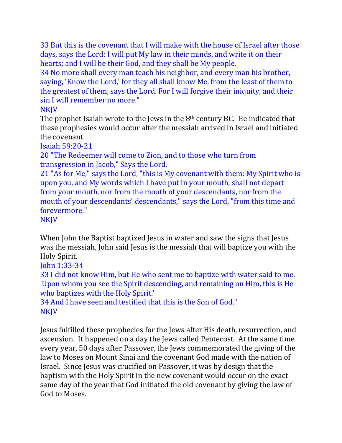33 But this is the covenant that I will make with the house of Israel after those days, says the Lord: I will put My law in their minds, and write it on their hearts; and I will be their God, and they shall be My people.

34 No more shall every man teach his neighbor, and every man his brother, saying, 'Know the Lord,' for they all shall know Me, from the least of them to the greatest of them, says the Lord. For I will forgive their iniquity, and their sin I will remember no more."

### **NKJV**

The prophet Isaiah wrote to the Jews in the  $8<sup>th</sup>$  century BC. He indicated that these prophesies would occur after the messiah arrived in Israel and initiated the covenant.

Isaiah 59:20-21

20 "The Redeemer will come to Zion, and to those who turn from transgression in Jacob," Says the Lord.

21 "As for Me," says the Lord, "this is My covenant with them: My Spirit who is upon you, and My words which I have put in your mouth, shall not depart from your mouth, nor from the mouth of your descendants, nor from the mouth of your descendants' descendants," says the Lord, "from this time and forevermore."

NKJV

When John the Baptist baptized Jesus in water and saw the signs that Jesus was the messiah, John said Jesus is the messiah that will baptize you with the Holy Spirit.

John 1:33-34

33 I did not know Him, but He who sent me to baptize with water said to me, 'Upon whom you see the Spirit descending, and remaining on Him, this is He who baptizes with the Holy Spirit.'

34 And I have seen and testified that this is the Son of God." **NKJV** 

Jesus fulfilled these prophecies for the Jews after His death, resurrection, and ascension. It happened on a day the Jews called Pentecost. At the same time every year, 50 days after Passover, the Jews commemorated the giving of the law to Moses on Mount Sinai and the covenant God made with the nation of Israel. Since Jesus was crucified on Passover, it was by design that the baptism with the Holy Spirit in the new covenant would occur on the exact same day of the year that God initiated the old covenant by giving the law of God to Moses.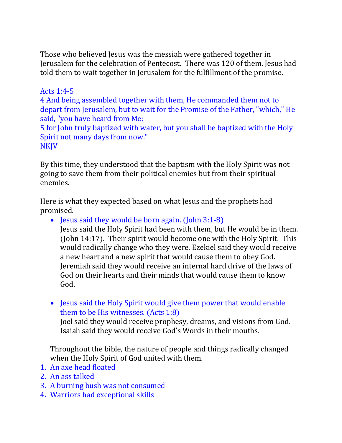Those who believed Jesus was the messiah were gathered together in Jerusalem for the celebration of Pentecost. There was 120 of them. Jesus had told them to wait together in Jerusalem for the fulfillment of the promise.

### Acts 1:4-5

4 And being assembled together with them, He commanded them not to depart from Jerusalem, but to wait for the Promise of the Father, "which," He said, "you have heard from Me;

5 for John truly baptized with water, but you shall be baptized with the Holy Spirit not many days from now."

#### **NKJV**

By this time, they understood that the baptism with the Holy Spirit was not going to save them from their political enemies but from their spiritual enemies.

Here is what they expected based on what Jesus and the prophets had promised.

• Jesus said they would be born again. (John 3:1-8)

Jesus said the Holy Spirit had been with them, but He would be in them. (John 14:17). Their spirit would become one with the Holy Spirit. This would radically change who they were. Ezekiel said they would receive a new heart and a new spirit that would cause them to obey God. Jeremiah said they would receive an internal hard drive of the laws of God on their hearts and their minds that would cause them to know God.

• Jesus said the Holy Spirit would give them power that would enable them to be His witnesses. (Acts 1:8)

Joel said they would receive prophesy, dreams, and visions from God. Isaiah said they would receive God's Words in their mouths.

Throughout the bible, the nature of people and things radically changed when the Holy Spirit of God united with them.

- 1. An axe head floated
- 2. An ass talked
- 3. A burning bush was not consumed
- 4. Warriors had exceptional skills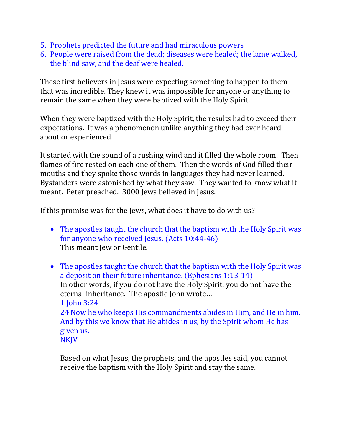- 5. Prophets predicted the future and had miraculous powers
- 6. People were raised from the dead; diseases were healed; the lame walked, the blind saw, and the deaf were healed.

These first believers in Jesus were expecting something to happen to them that was incredible. They knew it was impossible for anyone or anything to remain the same when they were baptized with the Holy Spirit.

When they were baptized with the Holy Spirit, the results had to exceed their expectations. It was a phenomenon unlike anything they had ever heard about or experienced.

It started with the sound of a rushing wind and it filled the whole room. Then flames of fire rested on each one of them. Then the words of God filled their mouths and they spoke those words in languages they had never learned. Bystanders were astonished by what they saw. They wanted to know what it meant. Peter preached. 3000 Jews believed in Jesus.

If this promise was for the Jews, what does it have to do with us?

- The apostles taught the church that the baptism with the Holy Spirit was for anyone who received Jesus. (Acts 10:44-46) This meant Jew or Gentile.
- The apostles taught the church that the baptism with the Holy Spirit was a deposit on their future inheritance. (Ephesians 1:13-14) In other words, if you do not have the Holy Spirit, you do not have the eternal inheritance. The apostle John wrote… 1 John 3:24 24 Now he who keeps His commandments abides in Him, and He in him. And by this we know that He abides in us, by the Spirit whom He has given us. **NKJV**

Based on what Jesus, the prophets, and the apostles said, you cannot receive the baptism with the Holy Spirit and stay the same.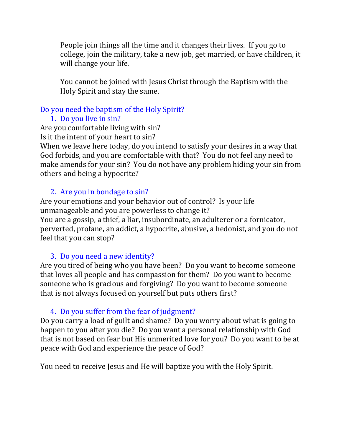People join things all the time and it changes their lives. If you go to college, join the military, take a new job, get married, or have children, it will change your life.

You cannot be joined with Jesus Christ through the Baptism with the Holy Spirit and stay the same.

#### Do you need the baptism of the Holy Spirit?

### 1. Do you live in sin?

Are you comfortable living with sin? Is it the intent of your heart to sin?

When we leave here today, do you intend to satisfy your desires in a way that God forbids, and you are comfortable with that? You do not feel any need to make amends for your sin? You do not have any problem hiding your sin from others and being a hypocrite?

# 2. Are you in bondage to sin?

Are your emotions and your behavior out of control? Is your life unmanageable and you are powerless to change it? You are a gossip, a thief, a liar, insubordinate, an adulterer or a fornicator, perverted, profane, an addict, a hypocrite, abusive, a hedonist, and you do not feel that you can stop?

# 3. Do you need a new identity?

Are you tired of being who you have been? Do you want to become someone that loves all people and has compassion for them? Do you want to become someone who is gracious and forgiving? Do you want to become someone that is not always focused on yourself but puts others first?

# 4. Do you suffer from the fear of judgment?

Do you carry a load of guilt and shame? Do you worry about what is going to happen to you after you die? Do you want a personal relationship with God that is not based on fear but His unmerited love for you? Do you want to be at peace with God and experience the peace of God?

You need to receive Jesus and He will baptize you with the Holy Spirit.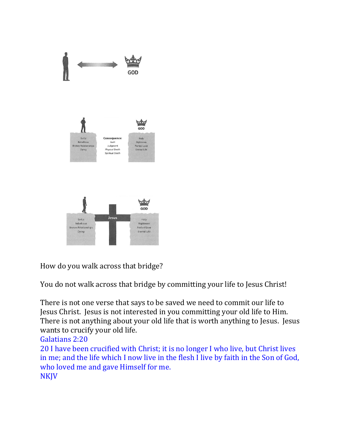

How do you walk across that bridge?

You do not walk across that bridge by committing your life to Jesus Christ!

There is not one verse that says to be saved we need to commit our life to Jesus Christ. Jesus is not interested in you committing your old life to Him. There is not anything about your old life that is worth anything to Jesus. Jesus wants to crucify your old life.

Galatians 2:20

20 I have been crucified with Christ; it is no longer I who live, but Christ lives in me; and the life which I now live in the flesh I live by faith in the Son of God, who loved me and gave Himself for me. NKJV